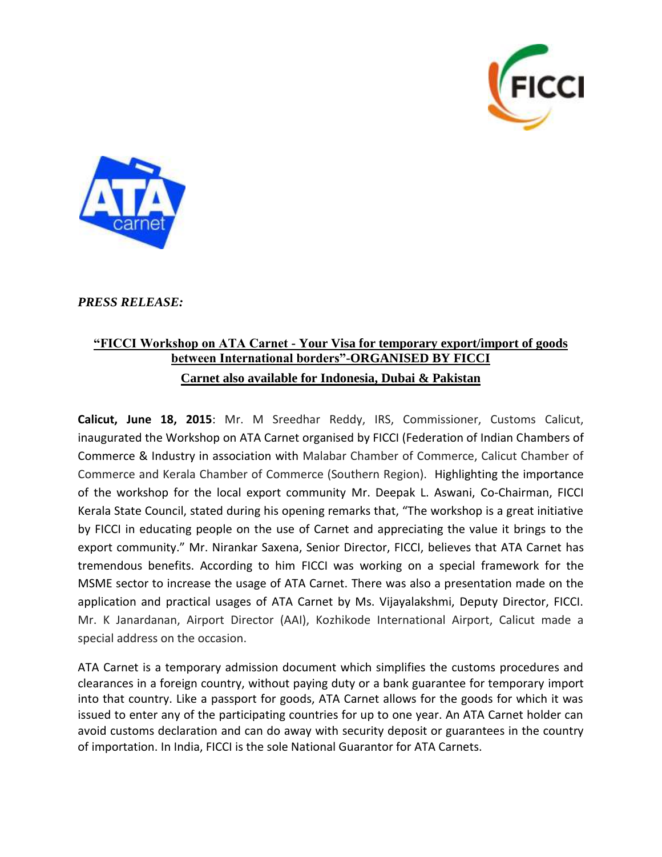



*PRESS RELEASE:*

## **"FICCI Workshop on ATA Carnet - Your Visa for temporary export/import of goods between International borders"-ORGANISED BY FICCI Carnet also available for Indonesia, Dubai & Pakistan**

**Calicut, June 18, 2015**: Mr. M Sreedhar Reddy, IRS, Commissioner, Customs Calicut, inaugurated the Workshop on ATA Carnet organised by FICCI (Federation of Indian Chambers of Commerce & Industry in association with Malabar Chamber of Commerce, Calicut Chamber of Commerce and Kerala Chamber of Commerce (Southern Region). Highlighting the importance of the workshop for the local export community Mr. Deepak L. Aswani, Co-Chairman, FICCI Kerala State Council, stated during his opening remarks that, "The workshop is a great initiative by FICCI in educating people on the use of Carnet and appreciating the value it brings to the export community." Mr. Nirankar Saxena, Senior Director, FICCI, believes that ATA Carnet has tremendous benefits. According to him FICCI was working on a special framework for the MSME sector to increase the usage of ATA Carnet. There was also a presentation made on the application and practical usages of ATA Carnet by Ms. Vijayalakshmi, Deputy Director, FICCI. Mr. K Janardanan, Airport Director (AAI), Kozhikode International Airport, Calicut made a special address on the occasion.

ATA Carnet is a temporary admission document which simplifies the customs procedures and clearances in a foreign country, without paying duty or a bank guarantee for temporary import into that country. Like a passport for goods, ATA Carnet allows for the goods for which it was issued to enter any of the participating countries for up to one year. An ATA Carnet holder can avoid customs declaration and can do away with security deposit or guarantees in the country of importation. In India, FICCI is the sole National Guarantor for ATA Carnets.